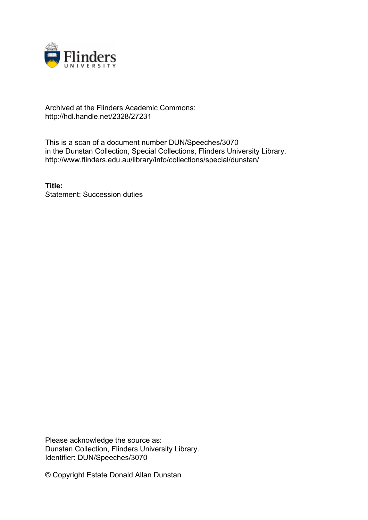

## Archived at the Flinders Academic Commons: http://hdl.handle.net/2328/27231

This is a scan of a document number DUN/Speeches/3070 in the Dunstan Collection, Special Collections, Flinders University Library. http://www.flinders.edu.au/library/info/collections/special/dunstan/

**Title:** Statement: Succession duties

Please acknowledge the source as: Dunstan Collection, Flinders University Library. Identifier: DUN/Speeches/3070

© Copyright Estate Donald Allan Dunstan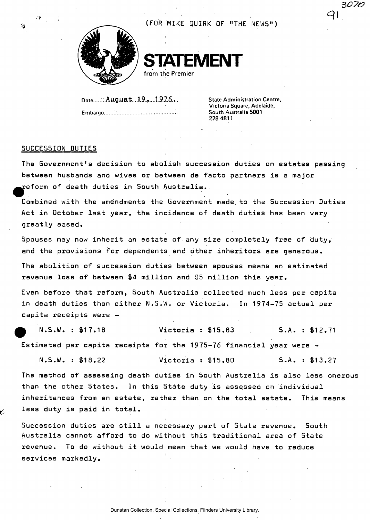

(FOR MIKE QUIRK OF "THE NEWS")

**STEMENT from the Premier** 

**Date** .. August....1.9.\*....1.9.7.6.... **State Administration Centre,** 

**Embargo South Australia 5001** 

**Victoria Square, Adelaide, 228 4811** 

3070

 $Q$  i

## SUCCESSION DUTIES

*• r* 

The Government's decision to abolish succession duties on estates passing between husbands and wives or between de facto partners is a major  ${\tt reform}$  of death duties in South  ${\tt Australia.}$ 

Combined with the amendments the Government made, to the Succession Duties Act in October last year, the incidence of death duties has been very greatly eased.

Spouses may now inherit an estate of any size completely free of duty, and the provisions for dependents and other inheritors are generous.

The abolition of succession duties between spouses means an estimated revenue loss of between \$4 million and \$5 million this year.

Even before that reform, South Australia collected much less per capita in death duties than either N.S.W. or Victoria. In 1974-75 actual per capita receipts were -

p IM.S.W. : \$17.18 Victoria : \$15.83 S.A. : \$12.71 Estimated per capita receipts for the 1975-76 financial year were -

N.S.W. : \$18.22 Victoria : \$15.80 S.A. : \$13.27

The method of assessing death duties in South Australia is also less onerous than the other States. In this State duty is assessed on individual inheritances from an estate, rather than on the total estate. This means less duty is paid in total.

Succession duties are still a necessary part of State revenue. South Australia cannot afford to do without this traditional area of 5tate revenue. To do without it would mean that we would have to reduce services markedly.